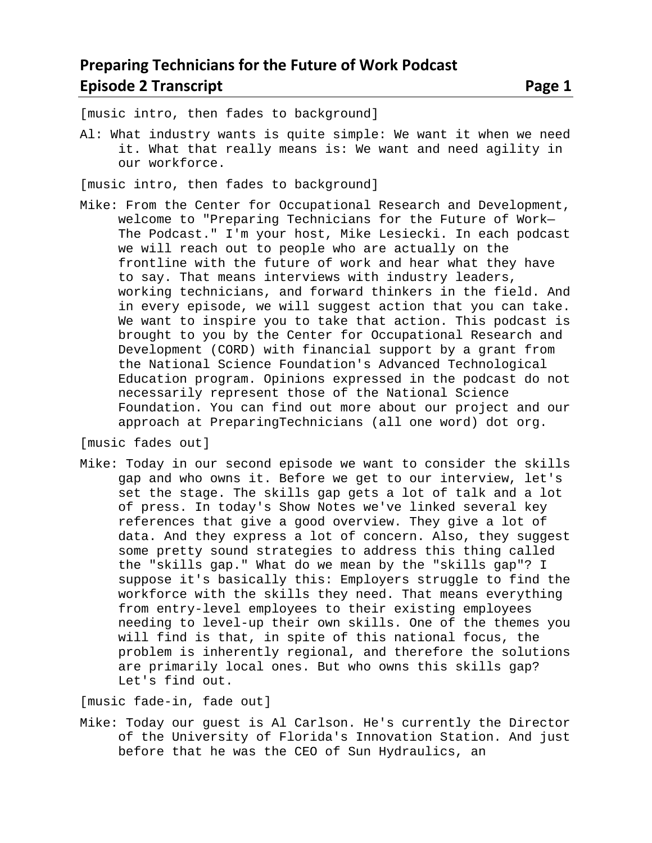[music intro, then fades to background]

Al: What industry wants is quite simple: We want it when we need it. What that really means is: We want and need agility in our workforce.

[music intro, then fades to background]

Mike: From the Center for Occupational Research and Development, welcome to "Preparing Technicians for the Future of Work— The Podcast." I'm your host, Mike Lesiecki. In each podcast we will reach out to people who are actually on the frontline with the future of work and hear what they have to say. That means interviews with industry leaders, working technicians, and forward thinkers in the field. And in every episode, we will suggest action that you can take. We want to inspire you to take that action. This podcast is brought to you by the Center for Occupational Research and Development (CORD) with financial support by a grant from the National Science Foundation's Advanced Technological Education program. Opinions expressed in the podcast do not necessarily represent those of the National Science Foundation. You can find out more about our project and our approach at PreparingTechnicians (all one word) dot org.

[music fades out]

Mike: Today in our second episode we want to consider the skills gap and who owns it. Before we get to our interview, let's set the stage. The skills gap gets a lot of talk and a lot of press. In today's Show Notes we've linked several key references that give a good overview. They give a lot of data. And they express a lot of concern. Also, they suggest some pretty sound strategies to address this thing called the "skills gap." What do we mean by the "skills gap"? I suppose it's basically this: Employers struggle to find the workforce with the skills they need. That means everything from entry-level employees to their existing employees needing to level-up their own skills. One of the themes you will find is that, in spite of this national focus, the problem is inherently regional, and therefore the solutions are primarily local ones. But who owns this skills gap? Let's find out.

[music fade-in, fade out]

Mike: Today our guest is Al Carlson. He's currently the Director of the University of Florida's Innovation Station. And just before that he was the CEO of Sun Hydraulics, an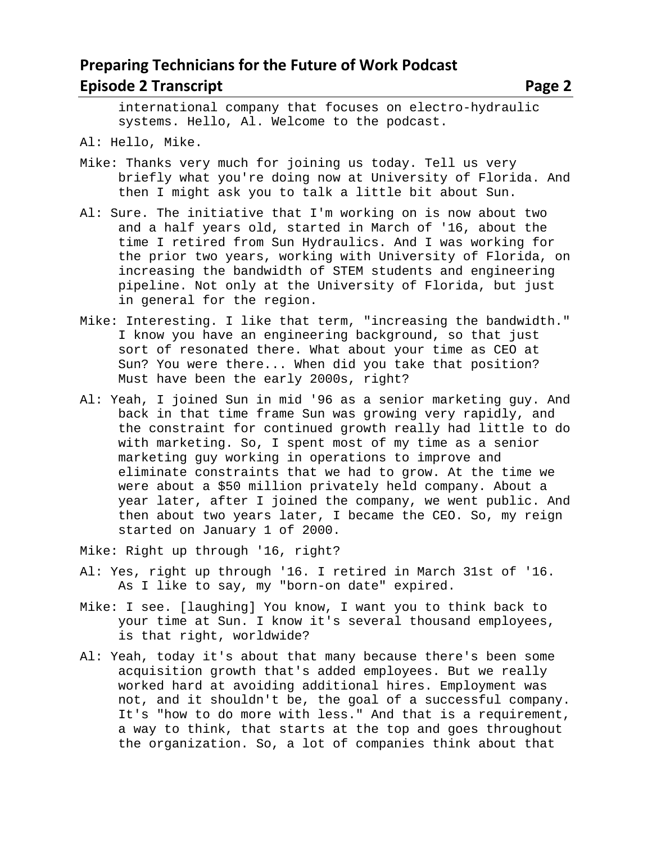#### **Preparing Technicians for the Future of Work Podcast Episode 2 Transcript 2 Page 2 2 Page 2 Page 2 Page 2 Page 2 Page 2 Page 2 Page 2 Page 2 Page 2 Page 2 Page 2 Page 2 Page 2 Page 2 Page 2 Page 2 Page 2 Page 2 Page 2 Page 2 Page 2 Page 2 Page 2 Page 2 Page 2 Page 2 Page 2**

international company that focuses on electro-hydraulic systems. Hello, Al. Welcome to the podcast.

Al: Hello, Mike.

- Mike: Thanks very much for joining us today. Tell us very briefly what you're doing now at University of Florida. And then I might ask you to talk a little bit about Sun.
- Al: Sure. The initiative that I'm working on is now about two and a half years old, started in March of '16, about the time I retired from Sun Hydraulics. And I was working for the prior two years, working with University of Florida, on increasing the bandwidth of STEM students and engineering pipeline. Not only at the University of Florida, but just in general for the region.
- Mike: Interesting. I like that term, "increasing the bandwidth." I know you have an engineering background, so that just sort of resonated there. What about your time as CEO at Sun? You were there... When did you take that position? Must have been the early 2000s, right?
- Al: Yeah, I joined Sun in mid '96 as a senior marketing guy. And back in that time frame Sun was growing very rapidly, and the constraint for continued growth really had little to do with marketing. So, I spent most of my time as a senior marketing guy working in operations to improve and eliminate constraints that we had to grow. At the time we were about a \$50 million privately held company. About a year later, after I joined the company, we went public. And then about two years later, I became the CEO. So, my reign started on January 1 of 2000.
- Mike: Right up through '16, right?
- Al: Yes, right up through '16. I retired in March 31st of '16. As I like to say, my "born-on date" expired.
- Mike: I see. [laughing] You know, I want you to think back to your time at Sun. I know it's several thousand employees, is that right, worldwide?
- Al: Yeah, today it's about that many because there's been some acquisition growth that's added employees. But we really worked hard at avoiding additional hires. Employment was not, and it shouldn't be, the goal of a successful company. It's "how to do more with less." And that is a requirement, a way to think, that starts at the top and goes throughout the organization. So, a lot of companies think about that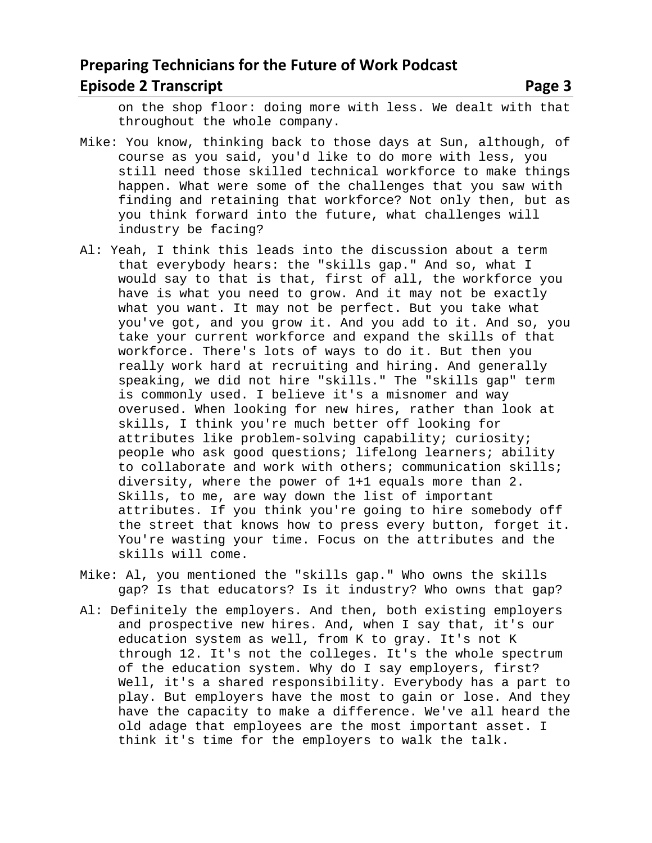### **Preparing Technicians for the Future of Work Podcast Episode 2 Transcript 2 Page 3 2 Page 3 2 Page 3 2 Page 3 Page 3 Page 3 Page 3 Page 3 Page 3 Page 3 Page 3 Page 3 Page 3 Page 3 Page 3 Page 3 Page 3 Page 3 Page 3 Page 3 Page 3 Page 3 Page 3 Page 3 Page 3 Page 3 Page 3 Pag**

on the shop floor: doing more with less. We dealt with that throughout the whole company.

- Mike: You know, thinking back to those days at Sun, although, of course as you said, you'd like to do more with less, you still need those skilled technical workforce to make things happen. What were some of the challenges that you saw with finding and retaining that workforce? Not only then, but as you think forward into the future, what challenges will industry be facing?
- Al: Yeah, I think this leads into the discussion about a term that everybody hears: the "skills gap." And so, what I would say to that is that, first of all, the workforce you have is what you need to grow. And it may not be exactly what you want. It may not be perfect. But you take what you've got, and you grow it. And you add to it. And so, you take your current workforce and expand the skills of that workforce. There's lots of ways to do it. But then you really work hard at recruiting and hiring. And generally speaking, we did not hire "skills." The "skills gap" term is commonly used. I believe it's a misnomer and way overused. When looking for new hires, rather than look at skills, I think you're much better off looking for attributes like problem-solving capability; curiosity; people who ask good questions; lifelong learners; ability to collaborate and work with others; communication skills; diversity, where the power of 1+1 equals more than 2. Skills, to me, are way down the list of important attributes. If you think you're going to hire somebody off the street that knows how to press every button, forget it. You're wasting your time. Focus on the attributes and the skills will come.
- Mike: Al, you mentioned the "skills gap." Who owns the skills gap? Is that educators? Is it industry? Who owns that gap?
- Al: Definitely the employers. And then, both existing employers and prospective new hires. And, when I say that, it's our education system as well, from K to gray. It's not K through 12. It's not the colleges. It's the whole spectrum of the education system. Why do I say employers, first? Well, it's a shared responsibility. Everybody has a part to play. But employers have the most to gain or lose. And they have the capacity to make a difference. We've all heard the old adage that employees are the most important asset. I think it's time for the employers to walk the talk.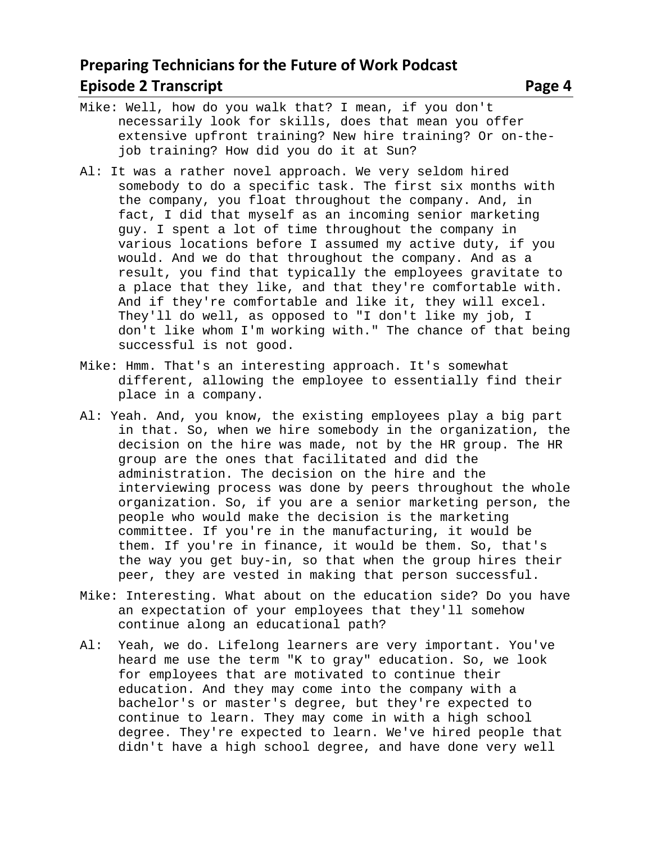## **Preparing Technicians for the Future of Work Podcast Episode 2 Transcript 2 and 2 and 2 and 2 and 2 and 2 and 2 and 2 and 2 and 2 and 2 and 2 and 2 and 2 and 2 and 2 and 2 and 2 and 2 and 2 and 2 and 2 and 2 and 2 and 2 and 2 and 2 and 2 and 2 and 2 and 2 and 2 and 2 and 2**

job training? How did you do it at Sun?

- Al: It was a rather novel approach. We very seldom hired somebody to do a specific task. The first six months with the company, you float throughout the company. And, in fact, I did that myself as an incoming senior marketing guy. I spent a lot of time throughout the company in various locations before I assumed my active duty, if you would. And we do that throughout the company. And as a result, you find that typically the employees gravitate to a place that they like, and that they're comfortable with. And if they're comfortable and like it, they will excel. They'll do well, as opposed to "I don't like my job, I don't like whom I'm working with." The chance of that being successful is not good.
- Mike: Hmm. That's an interesting approach. It's somewhat different, allowing the employee to essentially find their place in a company.
- Al: Yeah. And, you know, the existing employees play a big part in that. So, when we hire somebody in the organization, the decision on the hire was made, not by the HR group. The HR group are the ones that facilitated and did the administration. The decision on the hire and the interviewing process was done by peers throughout the whole organization. So, if you are a senior marketing person, the people who would make the decision is the marketing committee. If you're in the manufacturing, it would be them. If you're in finance, it would be them. So, that's the way you get buy-in, so that when the group hires their peer, they are vested in making that person successful.
- Mike: Interesting. What about on the education side? Do you have an expectation of your employees that they'll somehow continue along an educational path?
- Al: Yeah, we do. Lifelong learners are very important. You've heard me use the term "K to gray" education. So, we look for employees that are motivated to continue their education. And they may come into the company with a bachelor's or master's degree, but they're expected to continue to learn. They may come in with a high school degree. They're expected to learn. We've hired people that didn't have a high school degree, and have done very well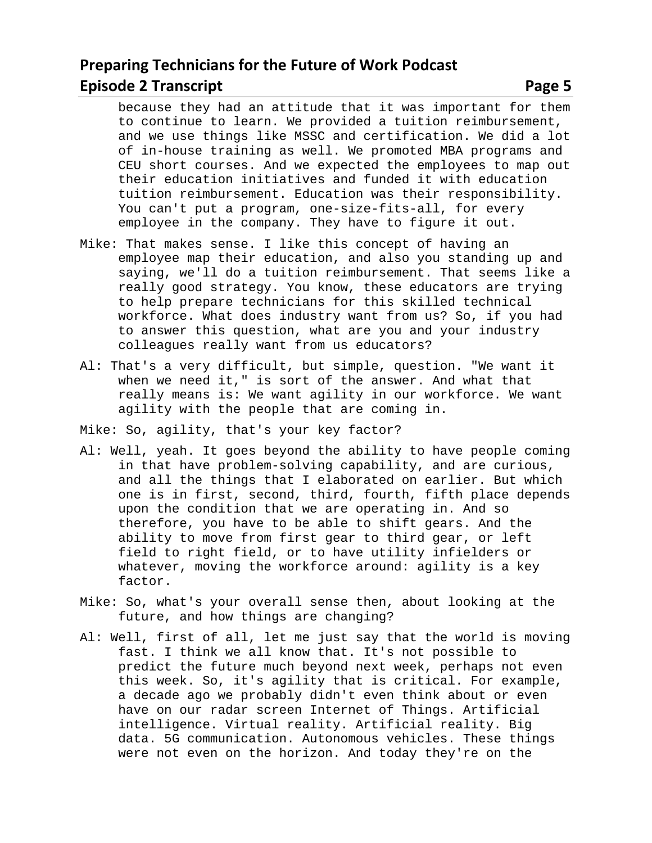because they had an attitude that it was important for them to continue to learn. We provided a tuition reimbursement, and we use things like MSSC and certification. We did a lot of in-house training as well. We promoted MBA programs and CEU short courses. And we expected the employees to map out their education initiatives and funded it with education tuition reimbursement. Education was their responsibility. You can't put a program, one-size-fits-all, for every employee in the company. They have to figure it out.

- Mike: That makes sense. I like this concept of having an employee map their education, and also you standing up and saying, we'll do a tuition reimbursement. That seems like a really good strategy. You know, these educators are trying to help prepare technicians for this skilled technical workforce. What does industry want from us? So, if you had to answer this question, what are you and your industry colleagues really want from us educators?
- Al: That's a very difficult, but simple, question. "We want it when we need it," is sort of the answer. And what that really means is: We want agility in our workforce. We want agility with the people that are coming in.
- Mike: So, agility, that's your key factor?
- Al: Well, yeah. It goes beyond the ability to have people coming in that have problem-solving capability, and are curious, and all the things that I elaborated on earlier. But which one is in first, second, third, fourth, fifth place depends upon the condition that we are operating in. And so therefore, you have to be able to shift gears. And the ability to move from first gear to third gear, or left field to right field, or to have utility infielders or whatever, moving the workforce around: agility is a key factor.
- Mike: So, what's your overall sense then, about looking at the future, and how things are changing?
- Al: Well, first of all, let me just say that the world is moving fast. I think we all know that. It's not possible to predict the future much beyond next week, perhaps not even this week. So, it's agility that is critical. For example, a decade ago we probably didn't even think about or even have on our radar screen Internet of Things. Artificial intelligence. Virtual reality. Artificial reality. Big data. 5G communication. Autonomous vehicles. These things were not even on the horizon. And today they're on the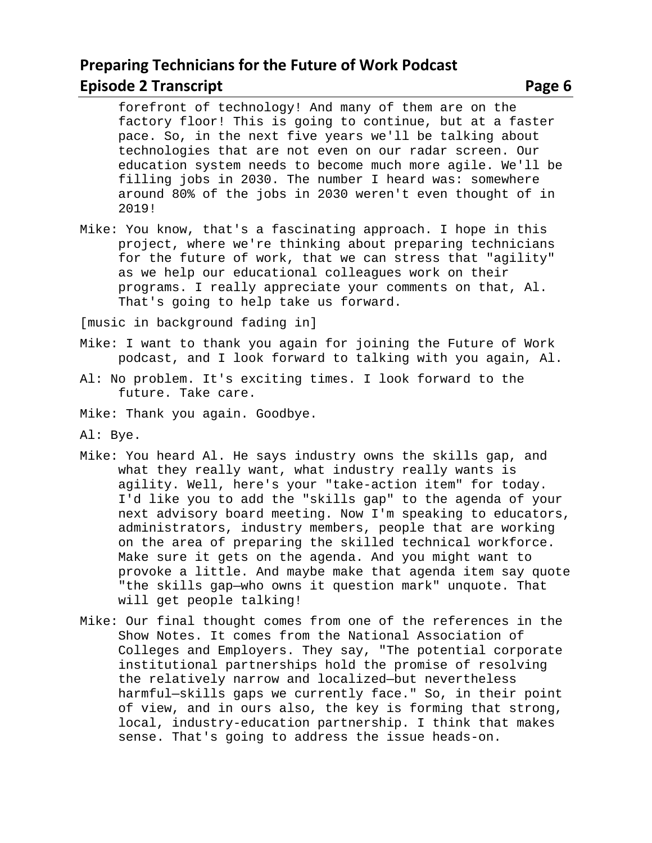forefront of technology! And many of them are on the factory floor! This is going to continue, but at a faster pace. So, in the next five years we'll be talking about technologies that are not even on our radar screen. Our education system needs to become much more agile. We'll be filling jobs in 2030. The number I heard was: somewhere around 80% of the jobs in 2030 weren't even thought of in 2019!

Mike: You know, that's a fascinating approach. I hope in this project, where we're thinking about preparing technicians for the future of work, that we can stress that "agility" as we help our educational colleagues work on their programs. I really appreciate your comments on that, Al. That's going to help take us forward.

[music in background fading in]

- Mike: I want to thank you again for joining the Future of Work podcast, and I look forward to talking with you again, Al.
- Al: No problem. It's exciting times. I look forward to the future. Take care.
- Mike: Thank you again. Goodbye.
- Al: Bye.
- Mike: You heard Al. He says industry owns the skills gap, and what they really want, what industry really wants is agility. Well, here's your "take-action item" for today. I'd like you to add the "skills gap" to the agenda of your next advisory board meeting. Now I'm speaking to educators, administrators, industry members, people that are working on the area of preparing the skilled technical workforce. Make sure it gets on the agenda. And you might want to provoke a little. And maybe make that agenda item say quote "the skills gap—who owns it question mark" unquote. That will get people talking!
- Mike: Our final thought comes from one of the references in the Show Notes. It comes from the National Association of Colleges and Employers. They say, "The potential corporate institutional partnerships hold the promise of resolving the relatively narrow and localized—but nevertheless harmful—skills gaps we currently face." So, in their point of view, and in ours also, the key is forming that strong, local, industry-education partnership. I think that makes sense. That's going to address the issue heads-on.